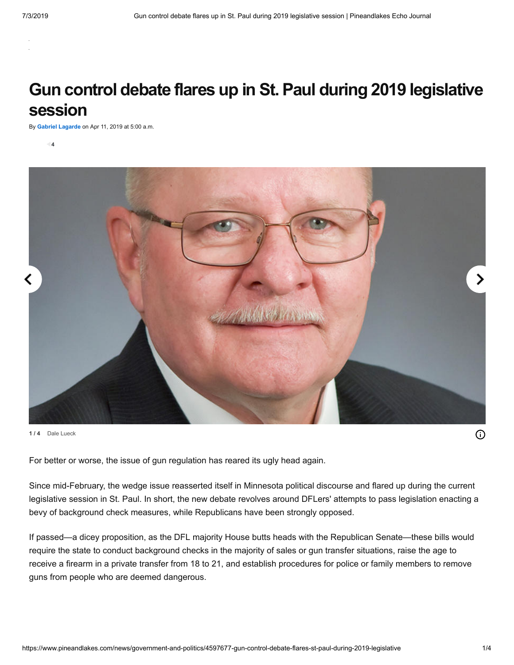# **Gun control debate flares up in St. Paul during 2019 legislative session**

By **[Gabriel Lagarde](https://www.pineandlakes.com/users/gabriel-lagarde)** on Apr 11, 2019 at 5:00 a.m.

**4**



**1 / 4** Dale Lueck

For better or worse, the issue of gun regulation has reared its ugly head again.

Since mid-February, the wedge issue reasserted itself in Minnesota political discourse and flared up during the current legislative session in St. Paul. In short, the new debate revolves around DFLers' attempts to pass legislation enacting a bevy of background check measures, while Republicans have been strongly opposed.

If passed—a dicey proposition, as the DFL majority House butts heads with the Republican Senate—these bills would require the state to conduct background checks in the majority of sales or gun transfer situations, raise the age to receive a firearm in a private transfer from 18 to 21, and establish procedures for police or family members to remove guns from people who are deemed dangerous.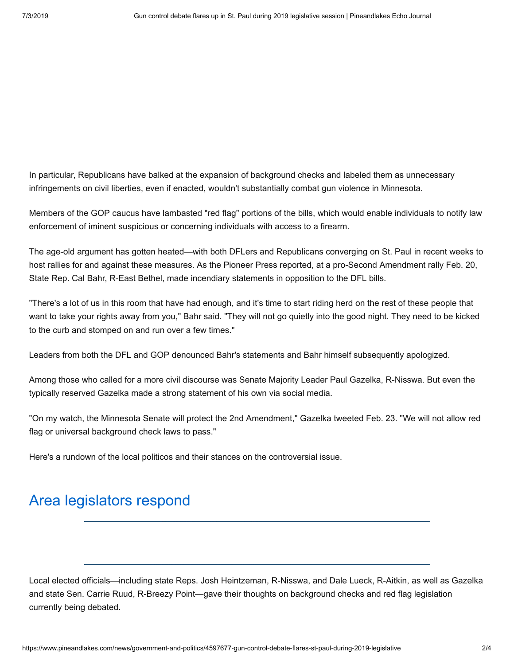In particular, Republicans have balked at the expansion of background checks and labeled them as unnecessary infringements on civil liberties, even if enacted, wouldn't substantially combat gun violence in Minnesota.

Members of the GOP caucus have lambasted "red flag" portions of the bills, which would enable individuals to notify law enforcement of iminent suspicious or concerning individuals with access to a firearm.

The age-old argument has gotten heated—with both DFLers and Republicans converging on St. Paul in recent weeks to host rallies for and against these measures. As the Pioneer Press reported, at a pro-Second Amendment rally Feb. 20, State Rep. Cal Bahr, R-East Bethel, made incendiary statements in opposition to the DFL bills.

"There's a lot of us in this room that have had enough, and it's time to start riding herd on the rest of these people that want to take your rights away from you," Bahr said. "They will not go quietly into the good night. They need to be kicked to the curb and stomped on and run over a few times."

Leaders from both the DFL and GOP denounced Bahr's statements and Bahr himself subsequently apologized.

Among those who called for a more civil discourse was Senate Majority Leader Paul Gazelka, R-Nisswa. But even the typically reserved Gazelka made a strong statement of his own via social media.

"On my watch, the Minnesota Senate will protect the 2nd Amendment," Gazelka tweeted Feb. 23. "We will not allow red flag or universal background check laws to pass."

Here's a rundown of the local politicos and their stances on the controversial issue.

## Area legislators respond

Local elected officials—including state Reps. Josh Heintzeman, R-Nisswa, and Dale Lueck, R-Aitkin, as well as Gazelka and state Sen. Carrie Ruud, R-Breezy Point—gave their thoughts on background checks and red flag legislation currently being debated.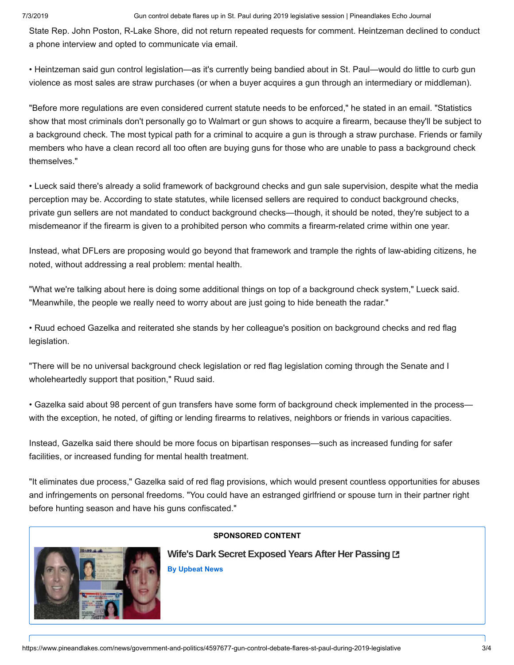#### 7/3/2019 Gun control debate flares up in St. Paul during 2019 legislative session | Pineandlakes Echo Journal

State Rep. John Poston, R-Lake Shore, did not return repeated requests for comment. Heintzeman declined to conduct a phone interview and opted to communicate via email.

• Heintzeman said gun control legislation—as it's currently being bandied about in St. Paul—would do little to curb gun violence as most sales are straw purchases (or when a buyer acquires a gun through an intermediary or middleman).

"Before more regulations are even considered current statute needs to be enforced," he stated in an email. "Statistics show that most criminals don't personally go to Walmart or gun shows to acquire a firearm, because they'll be subject to a background check. The most typical path for a criminal to acquire a gun is through a straw purchase. Friends or family members who have a clean record all too often are buying guns for those who are unable to pass a background check themselves."

• Lueck said there's already a solid framework of background checks and gun sale supervision, despite what the media perception may be. According to state statutes, while licensed sellers are required to conduct background checks, private gun sellers are not mandated to conduct background checks—though, it should be noted, they're subject to a misdemeanor if the firearm is given to a prohibited person who commits a firearm-related crime within one year.

Instead, what DFLers are proposing would go beyond that framework and trample the rights of law-abiding citizens, he noted, without addressing a real problem: mental health.

"What we're talking about here is doing some additional things on top of a background check system," Lueck said. "Meanwhile, the people we really need to worry about are just going to hide beneath the radar."

• Ruud echoed Gazelka and reiterated she stands by her colleague's position on background checks and red flag legislation.

"There will be no universal background check legislation or red flag legislation coming through the Senate and I wholeheartedly support that position," Ruud said.

• Gazelka said about 98 percent of gun transfers have some form of background check implemented in the process with the exception, he noted, of gifting or lending firearms to relatives, neighbors or friends in various capacities.

Instead, Gazelka said there should be more focus on bipartisan responses—such as increased funding for safer facilities, or increased funding for mental health treatment.

"It eliminates due process," Gazelka said of red flag provisions, which would present countless opportunities for abuses and infringements on personal freedoms. "You could have an estranged girlfriend or spouse turn in their partner right before hunting season and have his guns confiscated."



### **[SPONSORED CONTENT](https://jadserve.postrelease.com/trk?ntv_at=3&ntv_ui=3c3a0b16-1728-4d41-89ff-58d93d18434e&ntv_a=LREFAJxM5AWk0NA&ntv_fl=-YNQb7Lo_nLKsmkJxKHzjA==&ord=-1090292098&ntv_ht=LJgcXQA&ntv_tad=16&prx_referrer=https%3A%2F%2Fwww.google.com%2F&ntv_r=https://upbeatnews.com/texas-man-discovers-horrifying-truths-about-ex-wife-that-has-him-questioning-if-he-was-living-a-lie/?utm_source=nativo&utm_medium=mr&utm_content=nv_mr_003&utm_campaign=un_nv_wife_pg_dt_us_0619_001_mr&utm_term=10579)**

**[Wife's Dark Secret Exposed Years After Her Passing](https://jadserve.postrelease.com/trk?ntv_at=3&ntv_ui=3c3a0b16-1728-4d41-89ff-58d93d18434e&ntv_a=LREFAJxM5AWk0NA&ntv_fl=-YNQb7Lo_nLKsmkJxKHzjA==&ord=-1090292098&ntv_ht=LJgcXQA&ntv_tad=16&prx_referrer=https%3A%2F%2Fwww.google.com%2F&ntv_r=https://upbeatnews.com/texas-man-discovers-horrifying-truths-about-ex-wife-that-has-him-questioning-if-he-was-living-a-lie/?utm_source=nativo&utm_medium=mr&utm_content=nv_mr_003&utm_campaign=un_nv_wife_pg_dt_us_0619_001_mr&utm_term=10579) By [Upbeat News](https://jadserve.postrelease.com/trk?ntv_at=3&ntv_ui=3c3a0b16-1728-4d41-89ff-58d93d18434e&ntv_a=LREFAJxM5AWk0NA&ntv_fl=-YNQb7Lo_nLKsmkJxKHzjA==&ord=-1090292098&ntv_ht=LJgcXQA&ntv_tad=16&prx_referrer=https%3A%2F%2Fwww.google.com%2F&ntv_r=https://upbeatnews.com/texas-man-discovers-horrifying-truths-about-ex-wife-that-has-him-questioning-if-he-was-living-a-lie/?utm_source=nativo&utm_medium=mr&utm_content=nv_mr_003&utm_campaign=un_nv_wife_pg_dt_us_0619_001_mr&utm_term=10579)**